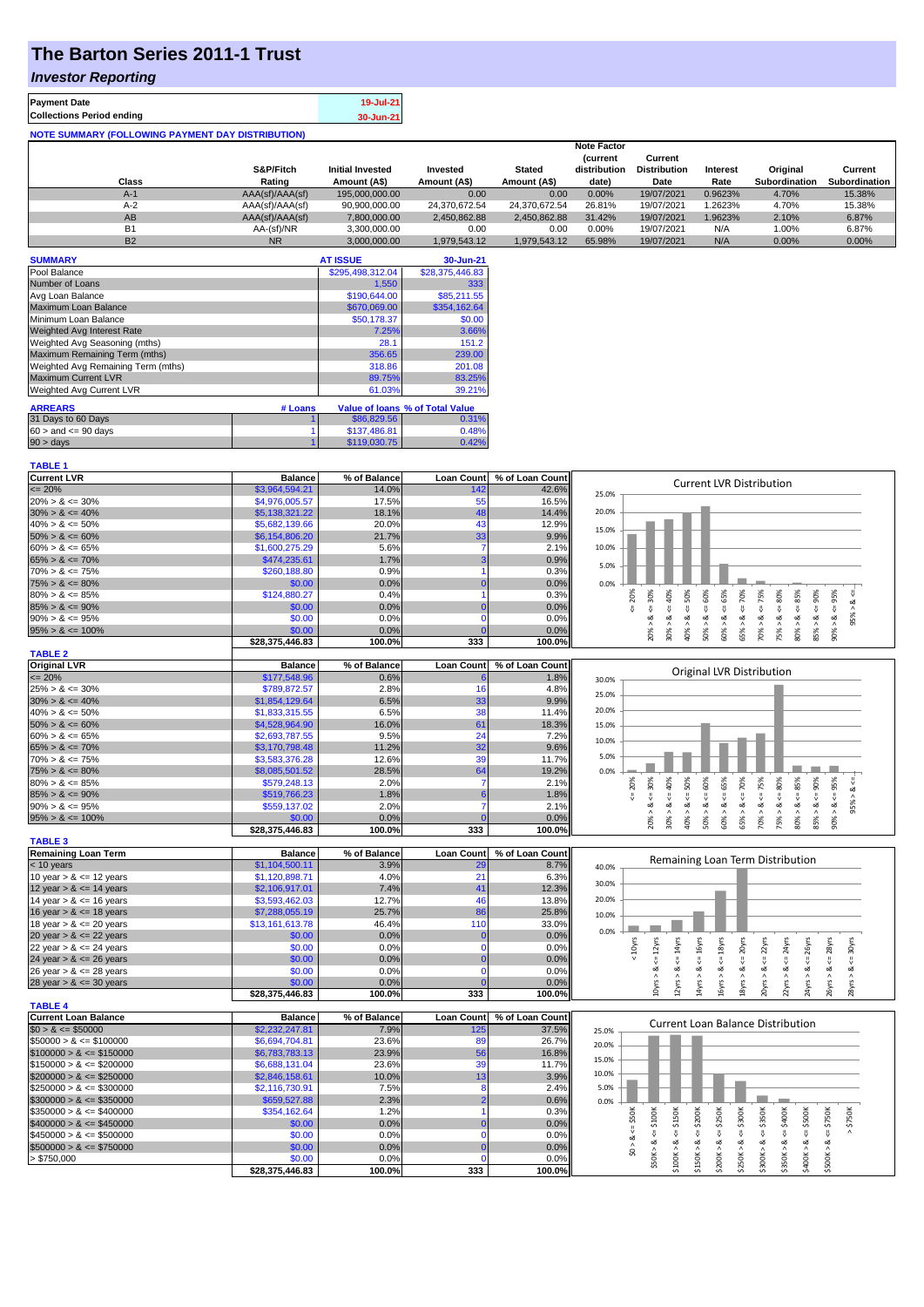## **The Barton Series 2011-1 Trust**

#### *Investor Reporting*

| <b>Payment Date</b>                                      | 19-Jul-21 |
|----------------------------------------------------------|-----------|
| <b>Collections Period ending</b>                         | 30-Jun-21 |
| <b>NOTE SUMMARY (FOLLOWING PAYMENT DAY DISTRIBUTION)</b> |           |

|              |                 |                         |               |               | <b>Note Factor</b> |                     |                 |               |               |
|--------------|-----------------|-------------------------|---------------|---------------|--------------------|---------------------|-----------------|---------------|---------------|
|              |                 |                         |               |               | <b>Current</b>     | Current             |                 |               |               |
|              | S&P/Fitch       | <b>Initial Invested</b> | Invested      | <b>Stated</b> | distribution       | <b>Distribution</b> | <b>Interest</b> | Original      | Current       |
| <b>Class</b> | Rating          | Amount (A\$)            | Amount (A\$)  | Amount (A\$)  | date)              | Date                | Rate            | Subordination | Subordination |
| $A-1$        | AAA(sf)/AAA(sf) | 195.000.000.00          | 0.00          | 0.00          | 0.00%              | 19/07/2021          | 0.9623%         | 4.70%         | 15.38%        |
| A-2          | AAA(sf)/AAA(sf) | 90,900,000.00           | 24.370.672.54 | 24.370.672.54 | 26.81%             | 19/07/2021          | .2623%          | 4.70%         | 15.38%        |
| AB           | AAA(sf)/AAA(sf) | 7,800,000.00            | 2,450,862.88  | 2.450.862.88  | 31.42%             | 19/07/2021          | 1.9623%         | 2.10%         | 6.87%         |
| <b>B1</b>    | AA-(sf)/NR      | 3.300.000.00            | 0.00          | 0.00          | 0.00%              | 19/07/2021          | N/A             | 1.00%         | 6.87%         |
| <b>B2</b>    | <b>NR</b>       | 3.000.000.00            | 1.979.543.12  | 1.979.543.12  | 65.98%             | 19/07/2021          | N/A             | 0.00%         | 0.00%         |

| <b>SUMMARY</b>                     |         | <b>AT ISSUE</b>  | 30-Jun-21                       |
|------------------------------------|---------|------------------|---------------------------------|
| Pool Balance                       |         | \$295,498,312.04 | \$28,375,446.83                 |
| Number of Loans                    |         | 1,550            | 333                             |
| Avg Loan Balance                   |         | \$190,644.00     | \$85,211.55                     |
| Maximum Loan Balance               |         | \$670,069,00     | \$354,162.64                    |
| Minimum Loan Balance               |         | \$50,178.37      | \$0.00                          |
| Weighted Avg Interest Rate         |         | 7.25%            | 3.66%                           |
| Weighted Avg Seasoning (mths)      |         | 28.1             | 151.2                           |
| Maximum Remaining Term (mths)      |         | 356.65           | 239.00                          |
| Weighted Avg Remaining Term (mths) |         | 318.86           | 201.08                          |
| <b>Maximum Current LVR</b>         |         | 89.75%           | 83.25%                          |
| Weighted Avg Current LVR           |         | 61.03%           | 39.21%                          |
| <b>ARREARS</b>                     | # Loans |                  | Value of Ioans % of Total Value |
| 31 Days to 60 Days                 |         | \$86,829.56      | 0.31%                           |
| $60 >$ and $\leq 90$ days          |         | \$137,486.81     | 0.48%                           |
| 90 > days                          |         | \$119,030.75     | 0.42%                           |

| <b>TABLE 1</b>              |                           |                |                   |                 |                                                                                                                                                                                                                                      |
|-----------------------------|---------------------------|----------------|-------------------|-----------------|--------------------------------------------------------------------------------------------------------------------------------------------------------------------------------------------------------------------------------------|
| <b>Current LVR</b>          | <b>Balance</b>            | % of Balance   | <b>Loan Count</b> | % of Loan Count | <b>Current LVR Distribution</b>                                                                                                                                                                                                      |
| $\epsilon = 20\%$           | \$3,964,594.21            | 14.0%          | 142               | 42.6%           | 25.0%                                                                                                                                                                                                                                |
| $20\% > 8 \le 30\%$         | \$4,976,005.57            | 17.5%          | 55                | 16.5%           |                                                                                                                                                                                                                                      |
| $30\% > 8 \le 40\%$         | \$5,138,321.22            | 18.1%          | 48                | 14.4%           | 20.0%                                                                                                                                                                                                                                |
| $40\% > 8 \le 50\%$         | \$5,682,139.66            | 20.0%          | 43                | 12.9%           | 15.0%                                                                                                                                                                                                                                |
| $50\% > 8 \le 60\%$         | \$6,154,806.20            | 21.7%          | 33                | 9.9%            |                                                                                                                                                                                                                                      |
| $60\% > 8 \le 65\%$         | \$1,600,275.29            | 5.6%           |                   | 2.1%            | 10.0%                                                                                                                                                                                                                                |
| $65\% > 8 \le 70\%$         | \$474,235.61              | 1.7%           |                   | 0.9%            |                                                                                                                                                                                                                                      |
| $70\% > 8 \le 75\%$         | \$260,188.80              | 0.9%           |                   | 0.3%            | 5.0%                                                                                                                                                                                                                                 |
| $75\% > 8 \le 80\%$         | \$0.00                    | 0.0%           |                   | 0.0%            | 0.0%                                                                                                                                                                                                                                 |
| $80\% > 8 \le 85\%$         | \$124,880.27              | 0.4%           |                   | 0.3%            | $4 = 65\%$<br>50%                                                                                                                                                                                                                    |
| $85\% > 8 \le 90\%$         | \$0.00                    | 0.0%           |                   | 0.0%            | $4 = 30\%$<br>$40\%$<br>$\leq 80\%$<br>$= 20%$<br>$-365%$ $-8656$<br>V                                                                                                                                                               |
| $90\% > 8 \le 95\%$         | \$0.00                    | 0.0%           | n                 | 0.0%            | ಷ                                                                                                                                                                                                                                    |
| $95\% > 8 \le 100\%$        | \$0.00                    | 0.0%           |                   | 0.0%            | $50\% > 8 <= 60\%$<br>$65\% > 8 \le 70\%$<br>$70\% > 8 \leq T5\%$<br>$80\% > 8 <= 85\%$<br>$90\% > 8 <= 95\%$<br>$85\% > 8 <= 90\%$<br>60% > 8<br>75% > &.<br>20% > 8<br>$30\% > 8$<br>40% >                                         |
|                             | \$28,375,446.83           | 100.0%         | 333               | 100.0%          |                                                                                                                                                                                                                                      |
| <b>TABLE 2</b>              |                           |                |                   |                 |                                                                                                                                                                                                                                      |
| <b>Original LVR</b>         | <b>Balance</b>            | % of Balance   | <b>Loan Count</b> | % of Loan Count |                                                                                                                                                                                                                                      |
| $\epsilon = 20\%$           | \$177,548.96              | 0.6%           |                   | 1.8%            | Original LVR Distribution                                                                                                                                                                                                            |
|                             |                           |                |                   |                 | 30.0%                                                                                                                                                                                                                                |
| $25\% > 8 \le 30\%$         | \$789,872.57              | 2.8%           | 16                | 4.8%            | 25.0%                                                                                                                                                                                                                                |
| $30\% > 8 \le 40\%$         | \$1,854,129.64            | 6.5%           | 33                | 9.9%            | 20.0%                                                                                                                                                                                                                                |
| $40\% > 8 \le 50\%$         | \$1,833,315.55            | 6.5%           | 38                | 11.4%           |                                                                                                                                                                                                                                      |
| $50\% > 8 \le 60\%$         | \$4,528,964.90            | 16.0%          | 61                | 18.3%           | 15.0%                                                                                                                                                                                                                                |
| $60\% > 8 \le 65\%$         | \$2,693,787.55            | 9.5%           | 24                | 7.2%            | 10.0%                                                                                                                                                                                                                                |
| $65\% > 8 \le 70\%$         | \$3,170,798.48            | 11.2%          | 32                | 9.6%            | 5.0%                                                                                                                                                                                                                                 |
| $70\% > 8 \le 75\%$         | \$3,583,376.28            | 12.6%          | 39                | 11.7%           |                                                                                                                                                                                                                                      |
| $75\% > 8 \le 80\%$         | \$8,085,501.52            | 28.5%          | 64                | 19.2%           | 0.0%                                                                                                                                                                                                                                 |
| $80\% > 8 \le 85\%$         | \$579,248.13              | 2.0%           | 7                 | 2.1%            | 50%<br>$5 = 20%$<br>$95\% > 8 <$                                                                                                                                                                                                     |
| $85\% > 8 \le 90\%$         | \$519,766.23              | 1.8%           |                   | 1.8%            |                                                                                                                                                                                                                                      |
| $90\% > 8 \le 95\%$         | \$559,137.02              | 2.0%           | 7                 | 2.1%            | $\frac{8}{1}$                                                                                                                                                                                                                        |
| $95\% > 8 \le 100\%$        | \$0.00                    | 0.0%           |                   | 0.0%            | $85\% > 8 \leq 90\%$<br>$75\% > 8 \leq 80\%$<br>$80\% > 8 <= 85\%$<br>$90\% > 8 <= 95\%$<br>$20\% > 8 \leq 30\%$<br>$30\% > 8 <= 40\%$<br>$50\% > 8 <= 60\%$<br>$60\% > 8 <= 65\%$<br>$65% > 8 \le 70%$<br>$70\% > 8 <= 75\%$<br>40% |
|                             | \$28,375,446.83           | 100.0%         | 333               | 100.0%          |                                                                                                                                                                                                                                      |
| <b>TABLE 3</b>              |                           |                |                   |                 |                                                                                                                                                                                                                                      |
| <b>Remaining Loan Term</b>  | <b>Balance</b>            | % of Balance   | <b>Loan Count</b> | % of Loan Count |                                                                                                                                                                                                                                      |
| < 10 years                  | \$1,104,500.11            | 3.9%           | 29                | 8.7%            | Remaining Loan Term Distribution<br>40.0%                                                                                                                                                                                            |
| 10 year $> 8 \le 12$ years  | \$1,120,898.71            | 4.0%           | 21                | 6.3%            |                                                                                                                                                                                                                                      |
| 12 year $> 8 \le 14$ years  | \$2,106,917.01            | 7.4%           | 41                |                 | 30.0%                                                                                                                                                                                                                                |
|                             |                           |                |                   | 12.3%           |                                                                                                                                                                                                                                      |
| 14 year $> 8 \le 16$ years  | \$3,593,462.03            | 12.7%          | 46                | 13.8%           | 20.0%                                                                                                                                                                                                                                |
|                             |                           | 25.7%          | 86                | 25.8%           |                                                                                                                                                                                                                                      |
| 16 year $> 8 \le 18$ years  | \$7,288,055.19            |                |                   |                 | 10.0%                                                                                                                                                                                                                                |
| 18 year $> 8 \le 20$ years  | \$13,161,613.78           | 46.4%          | 110<br>$\Omega$   | 33.0%           | 0.0%                                                                                                                                                                                                                                 |
| 20 year $> 8 \le 22$ years  | \$0.00                    | 0.0%           | $\Omega$          | 0.0%            |                                                                                                                                                                                                                                      |
| 22 year $> 8 \le 24$ years  | \$0.00                    | 0.0%           |                   | 0.0%            | < 10yrs<br>30yrs<br>24yrs                                                                                                                                                                                                            |
| 24 year $> 8 \le 26$ years  | \$0.00                    | 0.0%           |                   | 0.0%            | $\leq 12$ yrs<br>$\leq 14$ yrs<br>$\leq 18$ yrs<br>$\leq$ 20yrs<br>$\Leftarrow$ 22yrs<br>$\leq$ 28yrs<br>$\Leftarrow$ 16yrs<br>$\leq$ 26yrs<br>Ŷ.<br>IJ.<br>ಷ<br>ಷ<br>ಷ                                                              |
| 26 year $> 8 \le 28$ years  | \$0.00                    | 0.0%           |                   | 0.0%            |                                                                                                                                                                                                                                      |
| 28 year $> 8 \le 30$ years  | \$0.00                    | 0.0%           |                   | 0.0%            | 18yrs > 8<br>l4yrs >                                                                                                                                                                                                                 |
|                             | \$28,375,446.83           | 100.0%         | 333               | 100.0%          | 10yrs > 8<br>20yrs > 8<br>24yrs > 8<br>26yrs > 8<br>16yrs > 8.<br>$22\gamma$ rs > &<br>28yrs > 8<br>12yrs >                                                                                                                          |
| <b>TABLE 4</b>              |                           |                |                   |                 |                                                                                                                                                                                                                                      |
| <b>Current Loan Balance</b> | <b>Balance</b>            | % of Balance   | <b>Loan Count</b> | % of Loan Count | <b>Current Loan Balance Distribution</b>                                                                                                                                                                                             |
| $$0 > 8 \le $50000$         | \$2,232,247.81            | 7.9%           | 125               | 37.5%           | 25.0%                                                                                                                                                                                                                                |
| $$50000 > 8 \le $100000$    | \$6,694,704.81            | 23.6%          | 89                | 26.7%           | 20.0%                                                                                                                                                                                                                                |
| $$100000 > 8 \leq $150000$  | \$6,783,783.13            | 23.9%          | 56                | 16.8%           | 15.0%                                                                                                                                                                                                                                |
| $$150000 > 8 \le $200000$   | \$6,688,131.04            | 23.6%          | 39                | 11.7%           |                                                                                                                                                                                                                                      |
| $$200000 > 8 \leq $250000$  | \$2,846,158.61            | 10.0%          | 13                | 3.9%            | 10.0%                                                                                                                                                                                                                                |
| $$250000 > 8 \leq $300000$  | \$2,116,730.91            | 7.5%           | 8                 | 2.4%            | 5.0%                                                                                                                                                                                                                                 |
| $$300000 > 8 \leq $350000$  | \$659,527.88              | 2.3%           |                   | 0.6%            | 0.0%                                                                                                                                                                                                                                 |
| $$350000 > 8 \leq $400000$  | \$354,162.64              | 1.2%           |                   | 0.3%            |                                                                                                                                                                                                                                      |
| $$400000 > 8 \leq $450000$  | \$0.00                    | 0.0%           |                   | 0.0%            | \$150K<br>\$750K                                                                                                                                                                                                                     |
| $$450000 > 8 \le $500000$   | \$0.00                    | 0.0%           | $\Omega$          | 0.0%            | $4 = $200K$<br>$4 = $300K$<br>$4 = $400K$<br>$\leq$ \$350K<br>$\le$ \$500K<br>$4 = $750K$<br>V                                                                                                                                       |
| $$500000 > 8 \leq $750000$  | \$0.00                    | 0.0%           |                   | 0.0%            |                                                                                                                                                                                                                                      |
| > \$750,000                 | \$0.00<br>\$28,375,446.83 | 0.0%<br>100.0% | $\Omega$<br>333   | 0.0%<br>100.0%  | $$50K > 8 <= $100K$<br>$$200K > 8 \Leftarrow $250K$<br>$$0 > 8 <= $50$ K<br>\$250K > 8<br>\$300K > 8<br>\$350K > 8<br>\$100K > 8<br>\$150K > 8<br>\$400K > 8<br>\$500K > 8                                                           |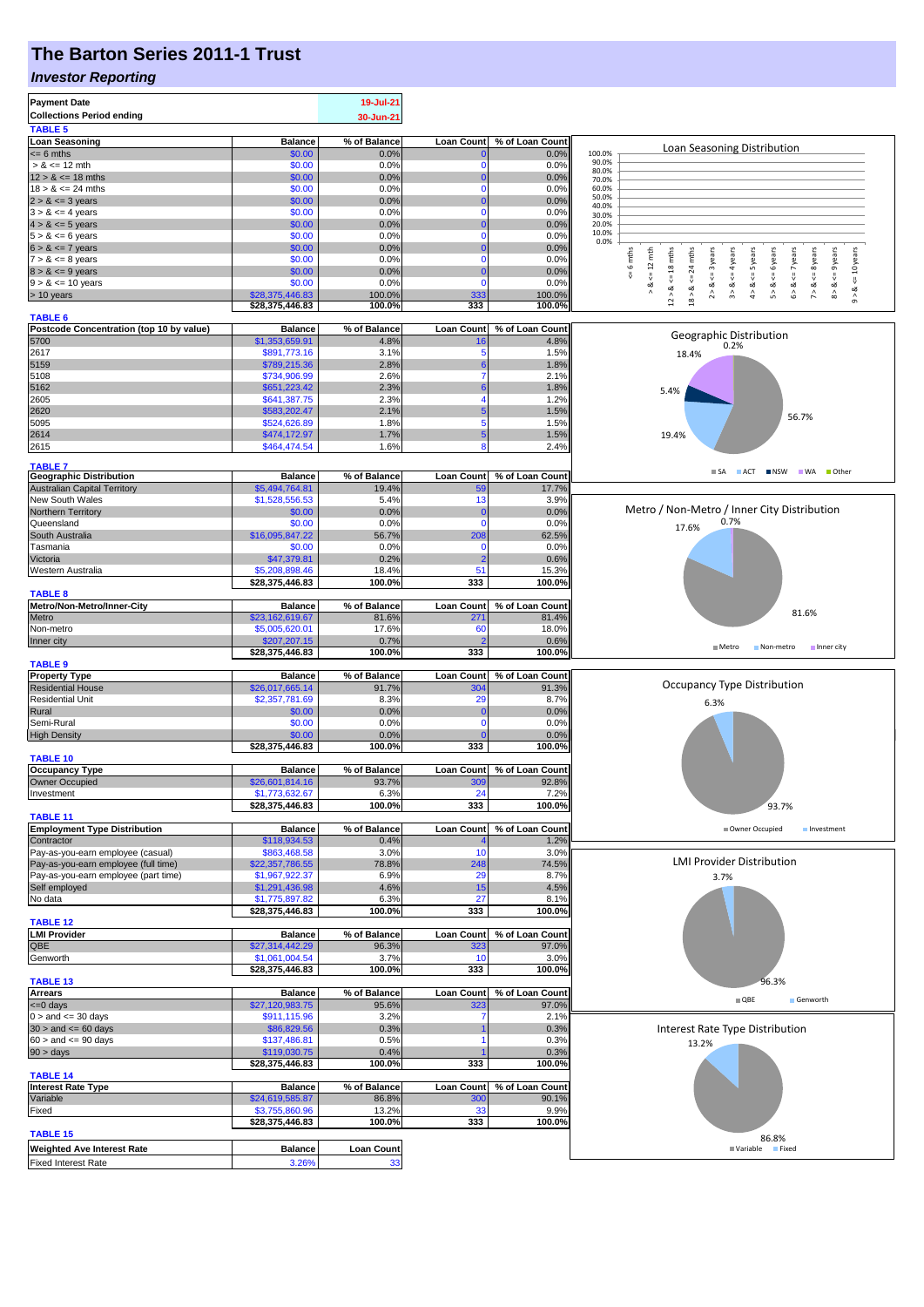## **The Barton Series 2011-1 Trust**

### *Investor Reporting*

| <b>Payment Date</b><br><b>Collections Period ending</b>               |                                   | 19-Jul-21<br>30-Jun-21 |                         |                          |                                                                                                                                                                                                     |  |  |  |
|-----------------------------------------------------------------------|-----------------------------------|------------------------|-------------------------|--------------------------|-----------------------------------------------------------------------------------------------------------------------------------------------------------------------------------------------------|--|--|--|
| <b>TABLE 5</b>                                                        |                                   |                        |                         |                          |                                                                                                                                                                                                     |  |  |  |
| <b>Loan Seasoning</b>                                                 | <b>Balance</b>                    | % of Balance           | <b>Loan Count</b>       | % of Loan Count          |                                                                                                                                                                                                     |  |  |  |
| $= 6$ mths                                                            | \$0.00                            | 0.0%                   |                         | 0.0%                     | Loan Seasoning Distribution<br>100.0%<br>90.0%                                                                                                                                                      |  |  |  |
| $> 8 \le 12$ mth                                                      | \$0.00                            | 0.0%                   | 0                       | 0.0%                     | 80.0%                                                                                                                                                                                               |  |  |  |
| $12 > 8 \le 18$ mths<br>$18 > 8 \le 24$ mths                          | \$0.00<br>\$0.00                  | 0.0%<br>0.0%           | $\mathbf 0$             | 0.0%<br>0.0%             | 70.0%<br>60.0%                                                                                                                                                                                      |  |  |  |
| $2 > 8 \le 3$ years                                                   | \$0.00                            | 0.0%                   |                         | 0.0%                     | 50.0%                                                                                                                                                                                               |  |  |  |
| $3 > 8 \le 4$ years                                                   | \$0.00                            | 0.0%                   | $\mathbf 0$             | 0.0%                     | 40.0%<br>30.0%                                                                                                                                                                                      |  |  |  |
| $4 > 8 \le 5$ years                                                   | \$0.00                            | 0.0%                   |                         | 0.0%                     | 20.0%                                                                                                                                                                                               |  |  |  |
| $5 > 8 \le 6$ years                                                   | \$0.00                            | 0.0%                   | $\mathbf 0$             | 0.0%                     | 10.0%<br>0.0%                                                                                                                                                                                       |  |  |  |
| $6 > 8 \le 7$ years                                                   | \$0.00                            | 0.0%                   |                         | 0.0%                     |                                                                                                                                                                                                     |  |  |  |
| $7 > 8 \le 8$ years                                                   | \$0.00                            | 0.0%                   | $\mathbf 0$             | 0.0%                     | 6 mths<br>$\leq 12$ mth<br>$12 > 8$ <= 18 mths<br>24 mths<br>$\leq$ = 9 years<br><= 3 years<br>$\leq$ = 4 years<br><= 5 years<br>6 years<br>$\le$ = 7 years<br>$\leq$ = 8 years<br>$\le$ = 10 years |  |  |  |
| $8 > 8 \le 9$ years<br>$9 > 8 \le 10$ years                           | \$0.00<br>\$0.00                  | 0.0%<br>0.0%           | $\Omega$                | 0.0%<br>0.0%             | 8<br>V<br>V                                                                                                                                                                                         |  |  |  |
| > 10 years                                                            | \$28,375,446.83                   | 100.0%                 | 333                     | 100.0%                   | ಷ<br>ಷ<br>4 > 8<br>5 > 8<br>6 > 8<br>7 > 8<br>8 > 8<br>ø<br>$18 > 8$ .<br>$9 - 8$<br>$\hat{2}$<br>$\stackrel{\wedge}{\scriptstyle\pi}$                                                              |  |  |  |
|                                                                       | \$28,375,446.83                   | 100.0%                 | 333                     | 100.0%                   |                                                                                                                                                                                                     |  |  |  |
| <b>TABLE 6</b>                                                        |                                   |                        |                         |                          |                                                                                                                                                                                                     |  |  |  |
| Postcode Concentration (top 10 by value)                              | <b>Balance</b>                    | % of Balance           | <b>Loan Count</b>       | % of Loan Count          | Geographic Distribution                                                                                                                                                                             |  |  |  |
| 5700<br>2617                                                          | \$1,353,659.91<br>\$891,773.16    | 4.8%<br>3.1%           | 5                       | 4.8%<br>1.5%             | 0.2%                                                                                                                                                                                                |  |  |  |
| 5159                                                                  | \$789,215.36                      | 2.8%                   |                         | 1.8%                     | 18.4%                                                                                                                                                                                               |  |  |  |
| 5108                                                                  | \$734,906.99                      | 2.6%                   |                         | 2.1%                     |                                                                                                                                                                                                     |  |  |  |
| 5162                                                                  | \$651,223.42                      | 2.3%                   |                         | 1.8%                     | 5.4%                                                                                                                                                                                                |  |  |  |
| 2605                                                                  | \$641,387.75                      | 2.3%                   |                         | 1.2%                     |                                                                                                                                                                                                     |  |  |  |
| 2620                                                                  | \$583,202.47                      | 2.1%                   |                         | 1.5%                     | 56.7%                                                                                                                                                                                               |  |  |  |
| 5095                                                                  | \$524,626.89                      | 1.8%                   | 5                       | 1.5%                     |                                                                                                                                                                                                     |  |  |  |
| 2614                                                                  | \$474,172.97                      | 1.7%                   | 5<br>8                  | 1.5%                     | 19.4%                                                                                                                                                                                               |  |  |  |
| 2615                                                                  | \$464,474.54                      | 1.6%                   |                         | 2.4%                     |                                                                                                                                                                                                     |  |  |  |
| <b>TABLE 7</b>                                                        |                                   |                        |                         |                          | ACT NSW WA<br>■ Other<br>$\blacksquare$ SA                                                                                                                                                          |  |  |  |
| <b>Geographic Distribution</b><br><b>Australian Capital Territory</b> | <b>Balance</b><br>\$5,494,764.81  | % of Balance<br>19.4%  | <b>Loan Count</b><br>5( | % of Loan Count<br>17.7% |                                                                                                                                                                                                     |  |  |  |
| New South Wales                                                       | \$1,528,556.53                    | 5.4%                   | 13                      | 3.9%                     |                                                                                                                                                                                                     |  |  |  |
| Northern Territory                                                    | \$0.00                            | 0.0%                   |                         | 0.0%                     | Metro / Non-Metro / Inner City Distribution                                                                                                                                                         |  |  |  |
| Queensland                                                            | \$0.00                            | 0.0%                   | $\Omega$                | 0.0%                     | 0.7%<br>17.6%                                                                                                                                                                                       |  |  |  |
| South Australia                                                       | \$16,095,847.22                   | 56.7%                  | 208                     | 62.5%                    |                                                                                                                                                                                                     |  |  |  |
| Tasmania                                                              | \$0.00                            | 0.0%                   | n                       | 0.0%                     |                                                                                                                                                                                                     |  |  |  |
| Victoria                                                              | \$47,379.81                       | 0.2%                   |                         | 0.6%                     |                                                                                                                                                                                                     |  |  |  |
| Western Australia                                                     | \$5,208,898.46                    | 18.4%                  | 51                      | 15.3%                    |                                                                                                                                                                                                     |  |  |  |
| <b>TABLE 8</b>                                                        | \$28,375,446.83                   | 100.0%                 | 333                     | 100.0%                   |                                                                                                                                                                                                     |  |  |  |
| Metro/Non-Metro/Inner-City                                            | <b>Balance</b>                    | % of Balance           | <b>Loan Count</b>       | % of Loan Count          |                                                                                                                                                                                                     |  |  |  |
| Metro                                                                 | \$23,162,619.67                   | 81.6%                  | 27'                     | 81.4%                    | 81.6%                                                                                                                                                                                               |  |  |  |
| Non-metro                                                             | \$5,005,620.01                    | 17.6%                  | 60                      | 18.0%                    |                                                                                                                                                                                                     |  |  |  |
| Inner city                                                            | \$207,207.15                      | 0.7%                   |                         | 0.6%                     | ■ Metro<br>Inner city<br>Non-metro                                                                                                                                                                  |  |  |  |
|                                                                       | \$28,375,446.83                   | 100.0%                 | 333                     | 100.0%                   |                                                                                                                                                                                                     |  |  |  |
| <b>TABLE 9</b><br><b>Property Type</b>                                | <b>Balance</b>                    | % of Balance           | <b>Loan Count</b>       | % of Loan Count          |                                                                                                                                                                                                     |  |  |  |
| <b>Residential House</b>                                              | \$26,017,665.14                   | 91.7%                  | 304                     | 91.3%                    | <b>Occupancy Type Distribution</b>                                                                                                                                                                  |  |  |  |
| <b>Residential Unit</b>                                               | \$2,357,781.69                    | 8.3%                   | 29                      | 8.7%                     | 6.3%                                                                                                                                                                                                |  |  |  |
| Rural                                                                 | \$0.00                            | 0.0%                   | n                       | 0.0%                     |                                                                                                                                                                                                     |  |  |  |
| Semi-Rural                                                            | \$0.00                            | 0.0%                   | 0                       | 0.0%                     |                                                                                                                                                                                                     |  |  |  |
| <b>High Density</b>                                                   | \$0.00<br>\$28,375,446.83         | 0.0%<br>100.0%         | 333                     | 0.0%<br>100.0%           |                                                                                                                                                                                                     |  |  |  |
| <b>TABLE 10</b>                                                       |                                   |                        |                         |                          |                                                                                                                                                                                                     |  |  |  |
| <b>Occupancy Type</b>                                                 | <b>Balance</b>                    | % of Balance           | <b>Loan Count</b>       | % of Loan Count          |                                                                                                                                                                                                     |  |  |  |
| Owner Occupied                                                        | \$26,601,814.16                   | 93.7%                  | 30                      | 92.8%                    |                                                                                                                                                                                                     |  |  |  |
| Investment                                                            | \$1,773,632.67                    | 6.3%                   | 24                      | 7.2%                     |                                                                                                                                                                                                     |  |  |  |
| <b>TABLE 11</b>                                                       | \$28,375,446.83                   | 100.0%                 | 333                     | 100.0%                   | 93.7%                                                                                                                                                                                               |  |  |  |
| <b>Employment Type Distribution</b>                                   | <b>Balance</b>                    | % of Balance           | <b>Loan Count</b>       | % of Loan Count          | Owner Occupied<br>Investment                                                                                                                                                                        |  |  |  |
| Contractor                                                            | \$118,934.53                      | 0.4%                   |                         | 1.2%                     |                                                                                                                                                                                                     |  |  |  |
| Pay-as-you-earn employee (casual)                                     | \$863,468.58                      | 3.0%                   | 10                      | 3.0%                     |                                                                                                                                                                                                     |  |  |  |
| Pay-as-you-earn employee (full time)                                  | \$22,357,786.55                   | 78.8%                  | 248                     | 74.5%                    | <b>LMI Provider Distribution</b>                                                                                                                                                                    |  |  |  |
| Pay-as-you-earn employee (part time)                                  | \$1,967,922.37                    | 6.9%                   | 29                      | 8.7%                     | 3.7%                                                                                                                                                                                                |  |  |  |
| Self employed                                                         | \$1,291,436.98<br>\$1,775,897.82  | 4.6%<br>6.3%           | 15<br>27                | 4.5%<br>8.1%             |                                                                                                                                                                                                     |  |  |  |
| No data                                                               | \$28,375,446.83                   | 100.0%                 | 333                     | 100.0%                   |                                                                                                                                                                                                     |  |  |  |
| <b>TABLE 12</b>                                                       |                                   |                        |                         |                          |                                                                                                                                                                                                     |  |  |  |
| <b>LMI Provider</b>                                                   | <b>Balance</b>                    | % of Balance           | <b>Loan Count</b>       | % of Loan Count          |                                                                                                                                                                                                     |  |  |  |
| QBE                                                                   | \$27,314,442.29                   | 96.3%                  | 323                     | 97.0%                    |                                                                                                                                                                                                     |  |  |  |
| Genworth                                                              | \$1,061,004.54<br>\$28,375,446.83 | 3.7%<br>100.0%         | 10<br>333               | 3.0%<br>100.0%           |                                                                                                                                                                                                     |  |  |  |
| <b>TABLE 13</b>                                                       |                                   |                        |                         |                          | 96.3%                                                                                                                                                                                               |  |  |  |
| <b>Arrears</b>                                                        | <b>Balance</b>                    | % of Balance           | <b>Loan Count</b>       | % of Loan Count          |                                                                                                                                                                                                     |  |  |  |
| $\leq 0$ days                                                         | \$27,120,983.75                   | 95.6%                  | 32 <sup>2</sup>         | 97.0%                    | $\blacksquare$ QBE<br>Genworth                                                                                                                                                                      |  |  |  |
| $0 >$ and $\leq$ 30 days                                              | \$911,115.96                      | 3.2%                   |                         | 2.1%                     |                                                                                                                                                                                                     |  |  |  |
| $30 >$ and $\leq 60$ days                                             | \$86,829.56                       | 0.3%                   |                         | 0.3%                     | Interest Rate Type Distribution                                                                                                                                                                     |  |  |  |
| $60 >$ and $\lt = 90$ days                                            | \$137,486.81                      | 0.5%                   |                         | 0.3%                     | 13.2%                                                                                                                                                                                               |  |  |  |
| $90 > \text{days}$                                                    | \$119,030.75<br>\$28,375,446.83   | 0.4%<br>100.0%         | 333                     | 0.3%<br>100.0%           |                                                                                                                                                                                                     |  |  |  |
| <b>TABLE 14</b>                                                       |                                   |                        |                         |                          |                                                                                                                                                                                                     |  |  |  |
| <b>Interest Rate Type</b>                                             | <b>Balance</b>                    | % of Balance           | Loan Count              | % of Loan Count          |                                                                                                                                                                                                     |  |  |  |
| Variable                                                              | \$24,619,585.87                   | 86.8%                  | 30                      | 90.1%                    |                                                                                                                                                                                                     |  |  |  |
| Fixed                                                                 | \$3,755,860.96                    | 13.2%                  | 33                      | 9.9%                     |                                                                                                                                                                                                     |  |  |  |
| <b>TABLE 15</b>                                                       | \$28,375,446.83                   | 100.0%                 | 333                     | 100.0%                   |                                                                                                                                                                                                     |  |  |  |
| <b>Weighted Ave Interest Rate</b>                                     | <b>Balance</b>                    | Loan Count             |                         |                          | 86.8%<br>Variable Fixed                                                                                                                                                                             |  |  |  |
| <b>Fixed Interest Rate</b>                                            | 3.26%                             | 33                     |                         |                          |                                                                                                                                                                                                     |  |  |  |
|                                                                       |                                   |                        |                         |                          |                                                                                                                                                                                                     |  |  |  |